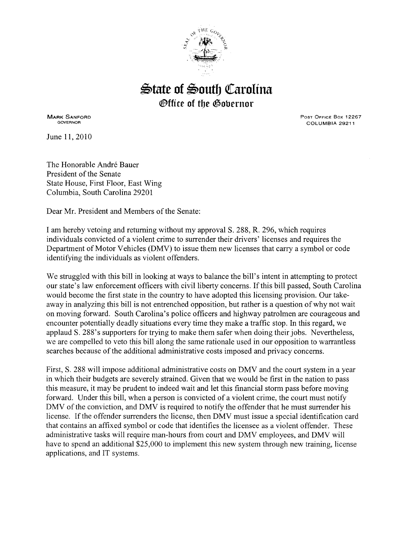

## $\triangle$ tate of  $\triangle$ outh Carolina *®ffice of the Gobernor*

MARK SANFORD GOVERNOR

June 11,2010

Post Office Box 12267 COLUMBIA 29211

The Honorable André Bauer President of the Senate State House, First Floor, East Wing Columbia, South Carolina 29201

Dear Mr. President and Members of the Senate:

I am hereby vetoing and returning without my approval S. 288, R. 296, which requires individuals convicted of a violent crime to surrender their drivers' licenses and requires the Department of Motor Vehicles (DMV) to issue them new licenses that carry a symbol or code identifying the individuals as violent offenders.

We struggled with this bill in looking at ways to balance the bill's intent in attempting to protect our state's law enforcement officers with civil liberty concerns. If this bill passed, South Carolina would become the first state in the country to have adopted this licensing provision. Our takeaway in analyzing this bill is not entrenched opposition, but rather is a question of why not wait on moving forward. South Carolina's police officers and highway patrolmen are courageous and encounter potentially deadly situations every time they make a traffic stop. In this regard, we applaud S. 288's supporters for trying to make them safer when doing their jobs. Nevertheless, we are compelled to veto this bill along the same rationale used in our opposition to warrantless searches because of the additional administrative costs imposed and privacy concerns.

First, S. 288 will impose additional administrative costs on DMV and the court system in a year in which their budgets are severely strained. Given that we would be first in the nation to pass this measure, it may be prudent to indeed wait and let this financial storm pass before moving forward. Under this bill, when a person is convicted of a violent crime, the court must notify DMV of the conviction, and DMV is required to notify the offender that he must surrender his license. If the offender surrenders the license, then DMV must issue a special identification card that contains an affixed symbol or code that identifies the licensee as a violent offender. These administrative tasks will require man-hours from court and DMV employees, and DMV will have to spend an additional \$25,000 to implement this new system through new training, license applications, and IT systems.